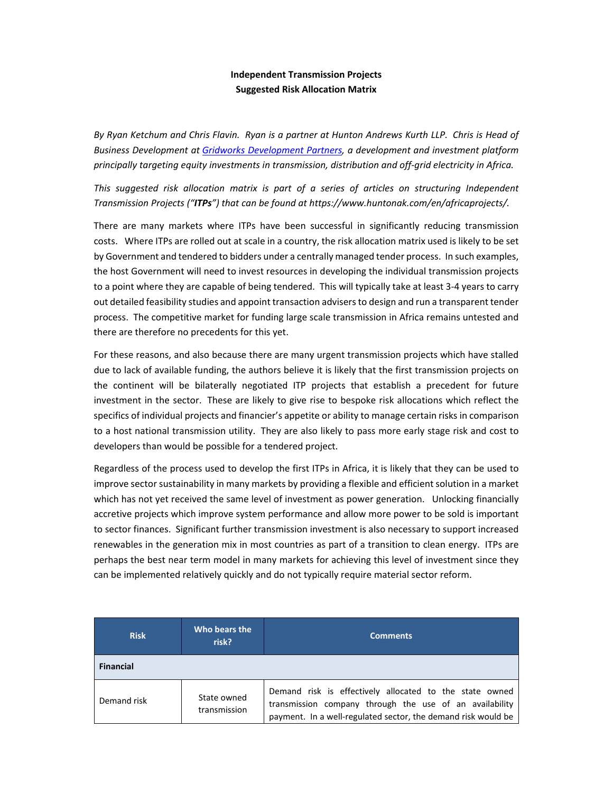## **Independent Transmission Projects Suggested Risk Allocation Matrix**

By Ryan Ketchum and Chris Flavin. Ryan is a partner at Hunton Andrews Kurth LLP. Chris is Head of *Business Development at Gridworks Development Partners, a development and investment platform principally targeting equity investments in transmission, distribution and off‐grid electricity in Africa.* 

*This suggested risk allocation matrix is part of a series of articles on structuring Independent Transmission Projects ("ITPs") that can be found at https://www.huntonak.com/en/africaprojects/.*

There are many markets where ITPs have been successful in significantly reducing transmission costs. Where ITPs are rolled out at scale in a country, the risk allocation matrix used is likely to be set by Government and tendered to bidders under a centrally managed tender process. In such examples, the host Government will need to invest resources in developing the individual transmission projects to a point where they are capable of being tendered. This will typically take at least 3‐4 years to carry out detailed feasibility studies and appoint transaction advisers to design and run a transparent tender process. The competitive market for funding large scale transmission in Africa remains untested and there are therefore no precedents for this yet.

For these reasons, and also because there are many urgent transmission projects which have stalled due to lack of available funding, the authors believe it is likely that the first transmission projects on the continent will be bilaterally negotiated ITP projects that establish a precedent for future investment in the sector. These are likely to give rise to bespoke risk allocations which reflect the specifics of individual projects and financier's appetite or ability to manage certain risks in comparison to a host national transmission utility. They are also likely to pass more early stage risk and cost to developers than would be possible for a tendered project.

Regardless of the process used to develop the first ITPs in Africa, it is likely that they can be used to improve sector sustainability in many markets by providing a flexible and efficient solution in a market which has not yet received the same level of investment as power generation. Unlocking financially accretive projects which improve system performance and allow more power to be sold is important to sector finances. Significant further transmission investment is also necessary to support increased renewables in the generation mix in most countries as part of a transition to clean energy. ITPs are perhaps the best near term model in many markets for achieving this level of investment since they can be implemented relatively quickly and do not typically require material sector reform.

| <b>Risk</b>      | Who bears the<br>risk?      | <b>Comments</b>                                                                                                                                                                     |
|------------------|-----------------------------|-------------------------------------------------------------------------------------------------------------------------------------------------------------------------------------|
| <b>Financial</b> |                             |                                                                                                                                                                                     |
| Demand risk      | State owned<br>transmission | Demand risk is effectively allocated to the state owned<br>transmission company through the use of an availability<br>payment. In a well-regulated sector, the demand risk would be |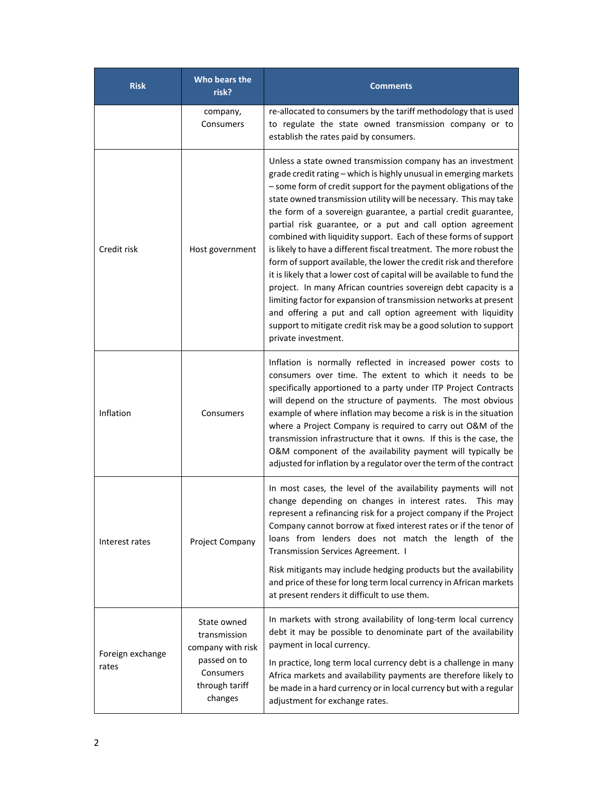| <b>Risk</b>               | Who bears the<br>risk?                                                        | <b>Comments</b>                                                                                                                                                                                                                                                                                                                                                                                                                                                                                                                                                                                                                                                                                                                                                                                                                                                                                                                                                                                         |
|---------------------------|-------------------------------------------------------------------------------|---------------------------------------------------------------------------------------------------------------------------------------------------------------------------------------------------------------------------------------------------------------------------------------------------------------------------------------------------------------------------------------------------------------------------------------------------------------------------------------------------------------------------------------------------------------------------------------------------------------------------------------------------------------------------------------------------------------------------------------------------------------------------------------------------------------------------------------------------------------------------------------------------------------------------------------------------------------------------------------------------------|
|                           | company,<br>Consumers                                                         | re-allocated to consumers by the tariff methodology that is used<br>to regulate the state owned transmission company or to<br>establish the rates paid by consumers.                                                                                                                                                                                                                                                                                                                                                                                                                                                                                                                                                                                                                                                                                                                                                                                                                                    |
| Credit risk               | Host government                                                               | Unless a state owned transmission company has an investment<br>grade credit rating - which is highly unusual in emerging markets<br>- some form of credit support for the payment obligations of the<br>state owned transmission utility will be necessary. This may take<br>the form of a sovereign guarantee, a partial credit guarantee,<br>partial risk guarantee, or a put and call option agreement<br>combined with liquidity support. Each of these forms of support<br>is likely to have a different fiscal treatment. The more robust the<br>form of support available, the lower the credit risk and therefore<br>it is likely that a lower cost of capital will be available to fund the<br>project. In many African countries sovereign debt capacity is a<br>limiting factor for expansion of transmission networks at present<br>and offering a put and call option agreement with liquidity<br>support to mitigate credit risk may be a good solution to support<br>private investment. |
| Inflation                 | Consumers                                                                     | Inflation is normally reflected in increased power costs to<br>consumers over time. The extent to which it needs to be<br>specifically apportioned to a party under ITP Project Contracts<br>will depend on the structure of payments. The most obvious<br>example of where inflation may become a risk is in the situation<br>where a Project Company is required to carry out O&M of the<br>transmission infrastructure that it owns. If this is the case, the<br>O&M component of the availability payment will typically be<br>adjusted for inflation by a regulator over the term of the contract                                                                                                                                                                                                                                                                                                                                                                                                  |
| Interest rates            | Project Company                                                               | In most cases, the level of the availability payments will not<br>change depending on changes in interest rates. This may<br>represent a refinancing risk for a project company if the Project<br>Company cannot borrow at fixed interest rates or if the tenor of<br>loans from lenders does not match the length of the<br>Transmission Services Agreement. I<br>Risk mitigants may include hedging products but the availability<br>and price of these for long term local currency in African markets<br>at present renders it difficult to use them.                                                                                                                                                                                                                                                                                                                                                                                                                                               |
| Foreign exchange<br>rates | State owned<br>transmission<br>company with risk<br>passed on to<br>Consumers | In markets with strong availability of long-term local currency<br>debt it may be possible to denominate part of the availability<br>payment in local currency.<br>In practice, long term local currency debt is a challenge in many<br>Africa markets and availability payments are therefore likely to                                                                                                                                                                                                                                                                                                                                                                                                                                                                                                                                                                                                                                                                                                |
|                           | through tariff<br>changes                                                     | be made in a hard currency or in local currency but with a regular<br>adjustment for exchange rates.                                                                                                                                                                                                                                                                                                                                                                                                                                                                                                                                                                                                                                                                                                                                                                                                                                                                                                    |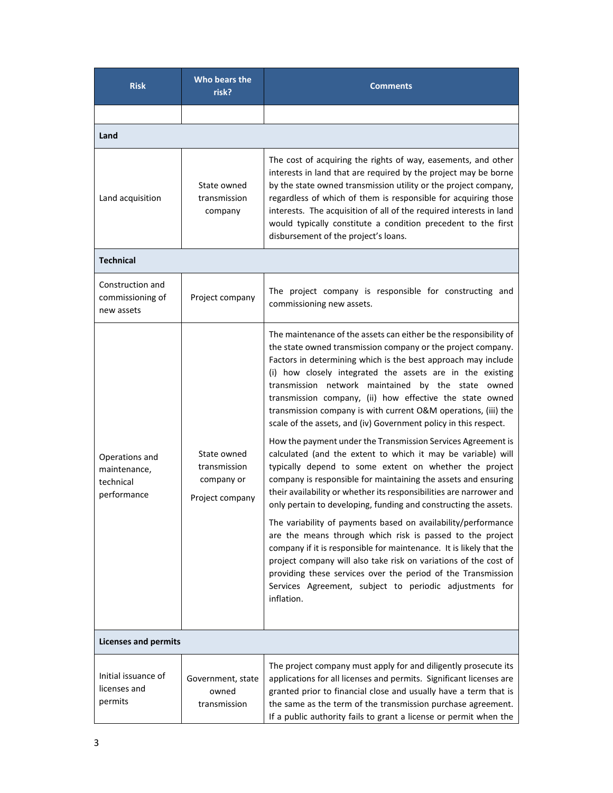| <b>Risk</b>                                                | Who bears the<br>risk?                                       | <b>Comments</b>                                                                                                                                                                                                                                                                                                                                                                                                                                                                                                                                                                                                                                                                                                                                                                                                                                                                                                                                                                                                                                                                                                                                                                                                                                                                                                                                  |
|------------------------------------------------------------|--------------------------------------------------------------|--------------------------------------------------------------------------------------------------------------------------------------------------------------------------------------------------------------------------------------------------------------------------------------------------------------------------------------------------------------------------------------------------------------------------------------------------------------------------------------------------------------------------------------------------------------------------------------------------------------------------------------------------------------------------------------------------------------------------------------------------------------------------------------------------------------------------------------------------------------------------------------------------------------------------------------------------------------------------------------------------------------------------------------------------------------------------------------------------------------------------------------------------------------------------------------------------------------------------------------------------------------------------------------------------------------------------------------------------|
|                                                            |                                                              |                                                                                                                                                                                                                                                                                                                                                                                                                                                                                                                                                                                                                                                                                                                                                                                                                                                                                                                                                                                                                                                                                                                                                                                                                                                                                                                                                  |
| Land                                                       |                                                              |                                                                                                                                                                                                                                                                                                                                                                                                                                                                                                                                                                                                                                                                                                                                                                                                                                                                                                                                                                                                                                                                                                                                                                                                                                                                                                                                                  |
| Land acquisition                                           | State owned<br>transmission<br>company                       | The cost of acquiring the rights of way, easements, and other<br>interests in land that are required by the project may be borne<br>by the state owned transmission utility or the project company,<br>regardless of which of them is responsible for acquiring those<br>interests. The acquisition of all of the required interests in land<br>would typically constitute a condition precedent to the first<br>disbursement of the project's loans.                                                                                                                                                                                                                                                                                                                                                                                                                                                                                                                                                                                                                                                                                                                                                                                                                                                                                            |
| <b>Technical</b>                                           |                                                              |                                                                                                                                                                                                                                                                                                                                                                                                                                                                                                                                                                                                                                                                                                                                                                                                                                                                                                                                                                                                                                                                                                                                                                                                                                                                                                                                                  |
| Construction and<br>commissioning of<br>new assets         | Project company                                              | The project company is responsible for constructing and<br>commissioning new assets.                                                                                                                                                                                                                                                                                                                                                                                                                                                                                                                                                                                                                                                                                                                                                                                                                                                                                                                                                                                                                                                                                                                                                                                                                                                             |
| Operations and<br>maintenance,<br>technical<br>performance | State owned<br>transmission<br>company or<br>Project company | The maintenance of the assets can either be the responsibility of<br>the state owned transmission company or the project company.<br>Factors in determining which is the best approach may include<br>(i) how closely integrated the assets are in the existing<br>transmission network maintained by the state owned<br>transmission company, (ii) how effective the state owned<br>transmission company is with current O&M operations, (iii) the<br>scale of the assets, and (iv) Government policy in this respect.<br>How the payment under the Transmission Services Agreement is<br>calculated (and the extent to which it may be variable) will<br>typically depend to some extent on whether the project<br>company is responsible for maintaining the assets and ensuring<br>their availability or whether its responsibilities are narrower and<br>only pertain to developing, funding and constructing the assets.<br>The variability of payments based on availability/performance<br>are the means through which risk is passed to the project<br>company if it is responsible for maintenance. It is likely that the<br>project company will also take risk on variations of the cost of<br>providing these services over the period of the Transmission<br>Services Agreement, subject to periodic adjustments for<br>inflation. |
| <b>Licenses and permits</b>                                |                                                              |                                                                                                                                                                                                                                                                                                                                                                                                                                                                                                                                                                                                                                                                                                                                                                                                                                                                                                                                                                                                                                                                                                                                                                                                                                                                                                                                                  |
| Initial issuance of<br>licenses and<br>permits             | Government, state<br>owned<br>transmission                   | The project company must apply for and diligently prosecute its<br>applications for all licenses and permits. Significant licenses are<br>granted prior to financial close and usually have a term that is<br>the same as the term of the transmission purchase agreement.<br>If a public authority fails to grant a license or permit when the                                                                                                                                                                                                                                                                                                                                                                                                                                                                                                                                                                                                                                                                                                                                                                                                                                                                                                                                                                                                  |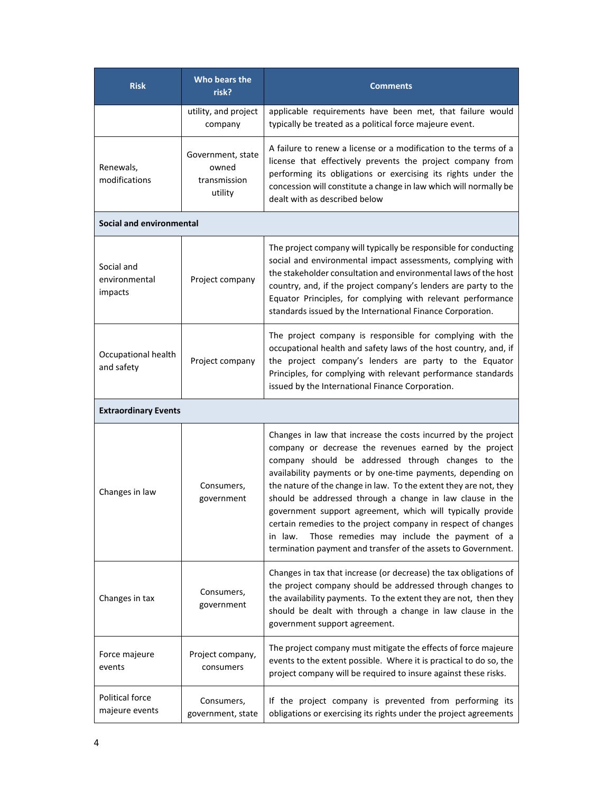| <b>Risk</b>                              | Who bears the<br>risk?                                | <b>Comments</b>                                                                                                                                                                                                                                                                                                                                                                                                                                                                                                                                                                                                                           |
|------------------------------------------|-------------------------------------------------------|-------------------------------------------------------------------------------------------------------------------------------------------------------------------------------------------------------------------------------------------------------------------------------------------------------------------------------------------------------------------------------------------------------------------------------------------------------------------------------------------------------------------------------------------------------------------------------------------------------------------------------------------|
|                                          | utility, and project<br>company                       | applicable requirements have been met, that failure would<br>typically be treated as a political force majeure event.                                                                                                                                                                                                                                                                                                                                                                                                                                                                                                                     |
| Renewals,<br>modifications               | Government, state<br>owned<br>transmission<br>utility | A failure to renew a license or a modification to the terms of a<br>license that effectively prevents the project company from<br>performing its obligations or exercising its rights under the<br>concession will constitute a change in law which will normally be<br>dealt with as described below                                                                                                                                                                                                                                                                                                                                     |
| Social and environmental                 |                                                       |                                                                                                                                                                                                                                                                                                                                                                                                                                                                                                                                                                                                                                           |
| Social and<br>environmental<br>impacts   | Project company                                       | The project company will typically be responsible for conducting<br>social and environmental impact assessments, complying with<br>the stakeholder consultation and environmental laws of the host<br>country, and, if the project company's lenders are party to the<br>Equator Principles, for complying with relevant performance<br>standards issued by the International Finance Corporation.                                                                                                                                                                                                                                        |
| Occupational health<br>and safety        | Project company                                       | The project company is responsible for complying with the<br>occupational health and safety laws of the host country, and, if<br>the project company's lenders are party to the Equator<br>Principles, for complying with relevant performance standards<br>issued by the International Finance Corporation.                                                                                                                                                                                                                                                                                                                              |
| <b>Extraordinary Events</b>              |                                                       |                                                                                                                                                                                                                                                                                                                                                                                                                                                                                                                                                                                                                                           |
| Changes in law                           | Consumers,<br>government                              | Changes in law that increase the costs incurred by the project<br>company or decrease the revenues earned by the project<br>company should be addressed through changes to the<br>availability payments or by one-time payments, depending on<br>the nature of the change in law. To the extent they are not, they<br>should be addressed through a change in law clause in the<br>government support agreement, which will typically provide<br>certain remedies to the project company in respect of changes<br>Those remedies may include the payment of a<br>in law.<br>termination payment and transfer of the assets to Government. |
| Changes in tax                           | Consumers,<br>government                              | Changes in tax that increase (or decrease) the tax obligations of<br>the project company should be addressed through changes to<br>the availability payments. To the extent they are not, then they<br>should be dealt with through a change in law clause in the<br>government support agreement.                                                                                                                                                                                                                                                                                                                                        |
| Force majeure<br>events                  | Project company,<br>consumers                         | The project company must mitigate the effects of force majeure<br>events to the extent possible. Where it is practical to do so, the<br>project company will be required to insure against these risks.                                                                                                                                                                                                                                                                                                                                                                                                                                   |
| <b>Political force</b><br>majeure events | Consumers,<br>government, state                       | If the project company is prevented from performing its<br>obligations or exercising its rights under the project agreements                                                                                                                                                                                                                                                                                                                                                                                                                                                                                                              |